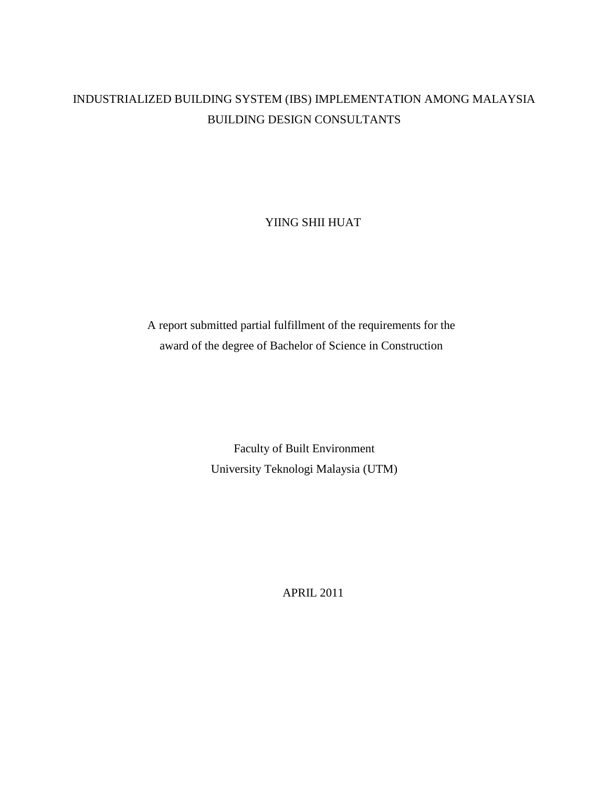## INDUSTRIALIZED BUILDING SYSTEM (IBS) IMPLEMENTATION AMONG MALAYSIA BUILDING DESIGN CONSULTANTS

YIING SHII HUAT

A report submitted partial fulfillment of the requirements for the award of the degree of Bachelor of Science in Construction

> Faculty of Built Environment University Teknologi Malaysia (UTM)

> > APRIL 2011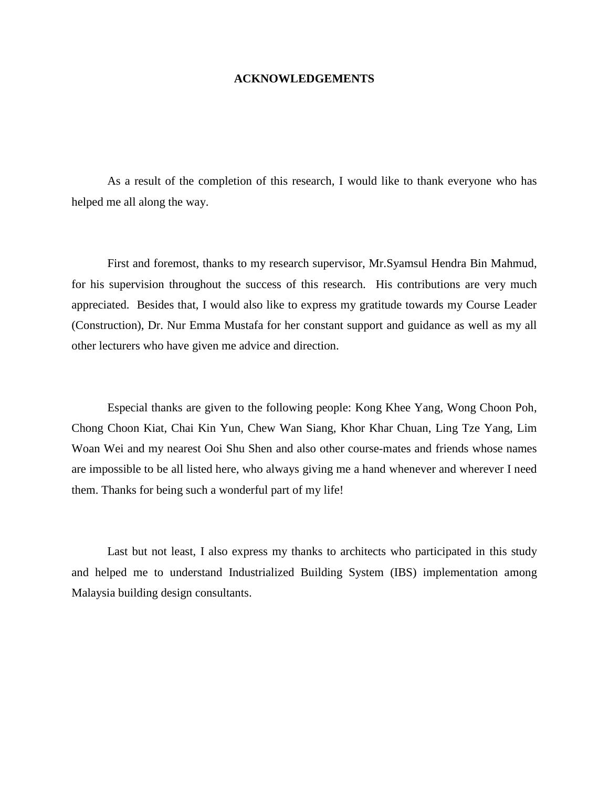## **ACKNOWLEDGEMENTS**

As a result of the completion of this research, I would like to thank everyone who has helped me all along the way.

First and foremost, thanks to my research supervisor, Mr.Syamsul Hendra Bin Mahmud, for his supervision throughout the success of this research. His contributions are very much appreciated. Besides that, I would also like to express my gratitude towards my Course Leader (Construction), Dr. Nur Emma Mustafa for her constant support and guidance as well as my all other lecturers who have given me advice and direction.

Especial thanks are given to the following people: Kong Khee Yang, Wong Choon Poh, Chong Choon Kiat, Chai Kin Yun, Chew Wan Siang, Khor Khar Chuan, Ling Tze Yang, Lim Woan Wei and my nearest Ooi Shu Shen and also other course-mates and friends whose names are impossible to be all listed here, who always giving me a hand whenever and wherever I need them. Thanks for being such a wonderful part of my life!

Last but not least, I also express my thanks to architects who participated in this study and helped me to understand Industrialized Building System (IBS) implementation among Malaysia building design consultants.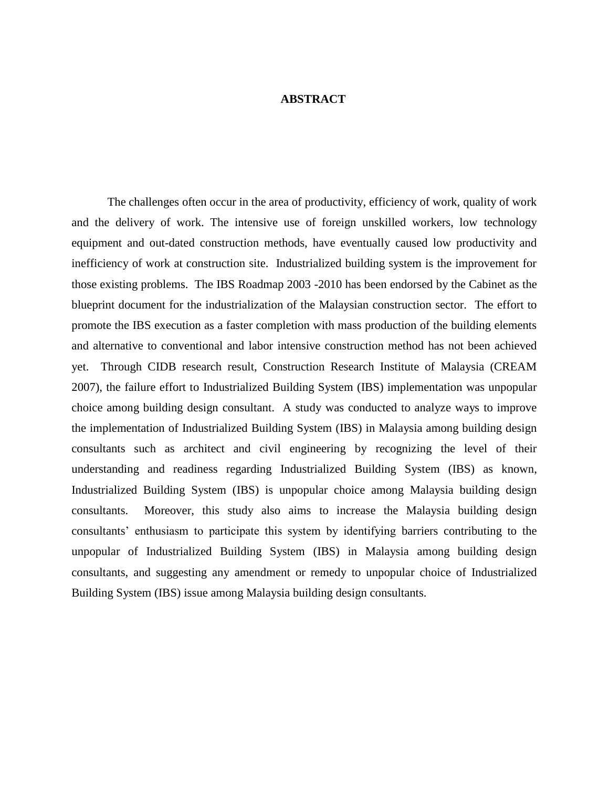## **ABSTRACT**

The challenges often occur in the area of productivity, efficiency of work, quality of work and the delivery of work. The intensive use of foreign unskilled workers, low technology equipment and out-dated construction methods, have eventually caused low productivity and inefficiency of work at construction site. Industrialized building system is the improvement for those existing problems. The IBS Roadmap 2003 -2010 has been endorsed by the Cabinet as the blueprint document for the industrialization of the Malaysian construction sector. The effort to promote the IBS execution as a faster completion with mass production of the building elements and alternative to conventional and labor intensive construction method has not been achieved yet. Through CIDB research result, Construction Research Institute of Malaysia (CREAM 2007), the failure effort to Industrialized Building System (IBS) implementation was unpopular choice among building design consultant. A study was conducted to analyze ways to improve the implementation of Industrialized Building System (IBS) in Malaysia among building design consultants such as architect and civil engineering by recognizing the level of their understanding and readiness regarding Industrialized Building System (IBS) as known, Industrialized Building System (IBS) is unpopular choice among Malaysia building design consultants. Moreover, this study also aims to increase the Malaysia building design consultants' enthusiasm to participate this system by identifying barriers contributing to the unpopular of Industrialized Building System (IBS) in Malaysia among building design consultants, and suggesting any amendment or remedy to unpopular choice of Industrialized Building System (IBS) issue among Malaysia building design consultants.